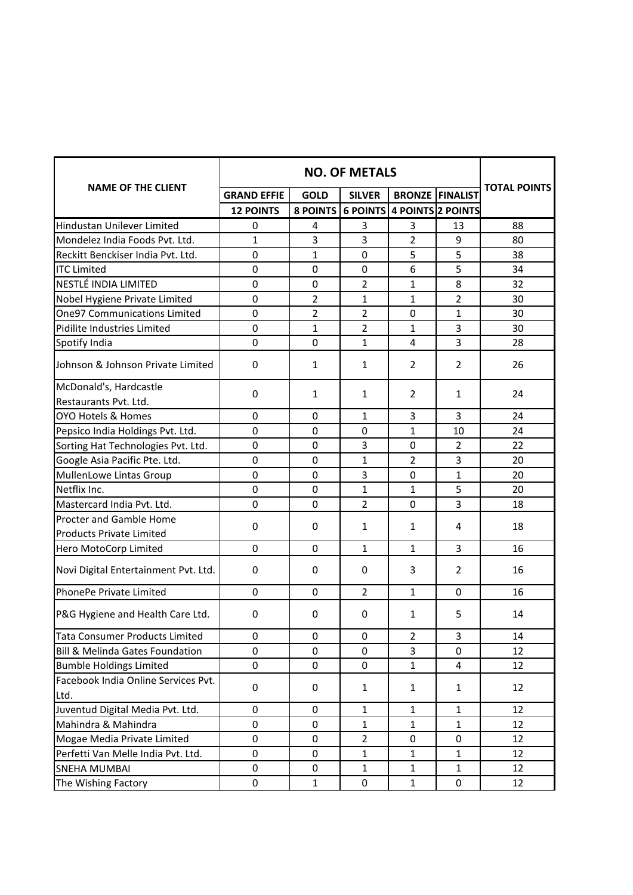| <b>NAME OF THE CLIENT</b>                                  | <b>NO. OF METALS</b> |                |                                     |                        |                |                     |
|------------------------------------------------------------|----------------------|----------------|-------------------------------------|------------------------|----------------|---------------------|
|                                                            | <b>GRAND EFFIE</b>   | <b>GOLD</b>    | <b>SILVER</b>                       | <b>BRONZE FINALIST</b> |                | <b>TOTAL POINTS</b> |
|                                                            | <b>12 POINTS</b>     |                | 8 POINTS 6 POINTS 4 POINTS 2 POINTS |                        |                |                     |
| Hindustan Unilever Limited                                 | 0                    | 4              | 3                                   | 3                      | 13             | 88                  |
| Mondelez India Foods Pvt. Ltd.                             | 1                    | 3              | 3                                   | $\overline{2}$         | 9              | 80                  |
| Reckitt Benckiser India Pvt. Ltd.                          | 0                    | $\mathbf{1}$   | 0                                   | 5                      | 5              | 38                  |
| <b>ITC Limited</b>                                         | 0                    | 0              | 0                                   | 6                      | 5              | 34                  |
| NESTLÉ INDIA LIMITED                                       | 0                    | 0              | $\overline{2}$                      | $\mathbf{1}$           | 8              | 32                  |
| Nobel Hygiene Private Limited                              | 0                    | $\overline{2}$ | $\mathbf{1}$                        | $\mathbf{1}$           | 2              | 30                  |
| <b>One97 Communications Limited</b>                        | 0                    | $\overline{2}$ | $\overline{2}$                      | 0                      | $\mathbf{1}$   | 30                  |
| Pidilite Industries Limited                                | 0                    | $\mathbf{1}$   | $\overline{2}$                      | $\mathbf{1}$           | 3              | 30                  |
| Spotify India                                              | 0                    | 0              | 1                                   | 4                      | 3              | 28                  |
| Johnson & Johnson Private Limited                          | 0                    | $\mathbf{1}$   | $\mathbf{1}$                        | 2                      | $\overline{2}$ | 26                  |
| McDonald's, Hardcastle<br>Restaurants Pvt. Ltd.            | 0                    | $\mathbf{1}$   | 1                                   | $\overline{2}$         | $\mathbf{1}$   | 24                  |
| OYO Hotels & Homes                                         | 0                    | 0              | 1                                   | 3                      | 3              | 24                  |
| Pepsico India Holdings Pvt. Ltd.                           | 0                    | 0              | 0                                   | $\mathbf{1}$           | 10             | 24                  |
| Sorting Hat Technologies Pvt. Ltd.                         | 0                    | $\Omega$       | 3                                   | 0                      | 2              | 22                  |
| Google Asia Pacific Pte. Ltd.                              | 0                    | 0              | $\mathbf{1}$                        | $\overline{2}$         | 3              | 20                  |
| MullenLowe Lintas Group                                    | 0                    | $\Omega$       | 3                                   | $\Omega$               | $\mathbf{1}$   | 20                  |
| Netflix Inc.                                               | 0                    | 0              | $\mathbf{1}$                        | $\mathbf{1}$           | 5              | 20                  |
| Mastercard India Pvt. Ltd.                                 | 0                    | $\Omega$       | $\overline{2}$                      | $\Omega$               | 3              | 18                  |
| Procter and Gamble Home<br><b>Products Private Limited</b> | 0                    | 0              | 1                                   | $\mathbf{1}$           | 4              | 18                  |
| Hero MotoCorp Limited                                      | 0                    | $\Omega$       | $\mathbf{1}$                        | $\mathbf{1}$           | 3              | 16                  |
| Novi Digital Entertainment Pvt. Ltd.                       | 0                    | 0              | 0                                   | 3                      | $\overline{2}$ | 16                  |
| PhonePe Private Limited                                    | $\Omega$             | $\Omega$       | 2                                   | $\mathbf{1}$           | $\Omega$       | 16                  |
| P&G Hygiene and Health Care Ltd.                           | 0                    | 0              | 0                                   | $\mathbf{1}$           | 5              | 14                  |
| <b>Tata Consumer Products Limited</b>                      | 0                    | 0              | 0                                   | $\overline{2}$         | 3              | 14                  |
| <b>Bill &amp; Melinda Gates Foundation</b>                 | 0                    | 0              | 0                                   | 3                      | 0              | 12                  |
| <b>Bumble Holdings Limited</b>                             | 0                    | 0              | 0                                   | $\mathbf{1}$           | 4              | 12                  |
| Facebook India Online Services Pvt.<br>Ltd.                | 0                    | 0              | $\mathbf{1}$                        | $\mathbf{1}$           | $\mathbf{1}$   | 12                  |
| Juventud Digital Media Pvt. Ltd.                           | 0                    | 0              | $\mathbf{1}$                        | $\mathbf{1}$           | $\mathbf{1}$   | 12                  |
| Mahindra & Mahindra                                        | 0                    | 0              | 1                                   | $\mathbf{1}$           | $\mathbf{1}$   | 12                  |
| Mogae Media Private Limited                                | 0                    | 0              | $\overline{2}$                      | 0                      | $\pmb{0}$      | 12                  |
| Perfetti Van Melle India Pvt. Ltd.                         | 0                    | 0              | 1                                   | 1                      | $\mathbf{1}$   | 12                  |
| <b>SNEHA MUMBAI</b>                                        | 0                    | 0              | $\mathbf{1}$                        | $\mathbf{1}$           | $\mathbf{1}$   | 12                  |
| The Wishing Factory                                        | 0                    | $\mathbf{1}$   | 0                                   | $\mathbf 1$            | $\pmb{0}$      | 12                  |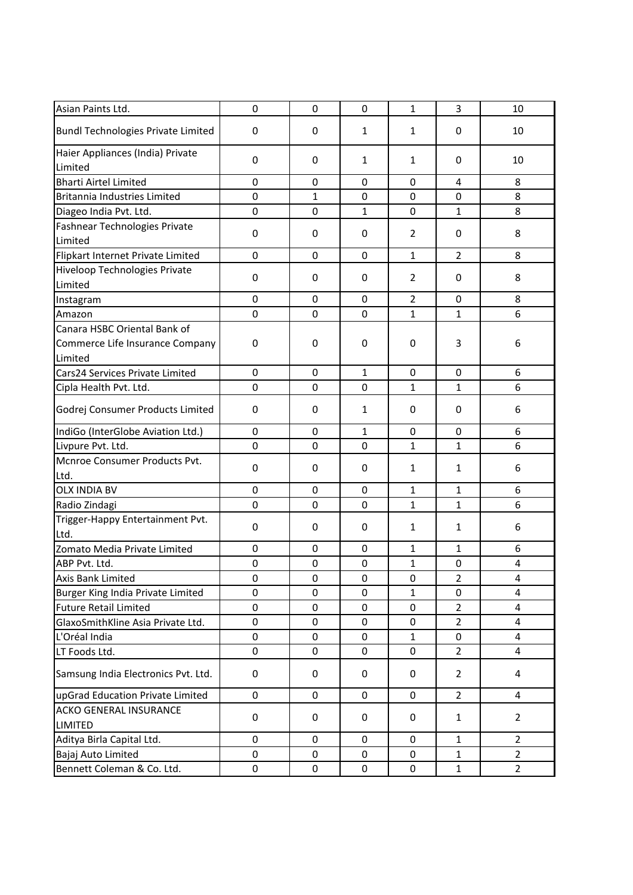| Asian Paints Ltd.                               | 0           | $\Omega$     | 0            | $\mathbf{1}$   | 3              | 10                      |
|-------------------------------------------------|-------------|--------------|--------------|----------------|----------------|-------------------------|
| <b>Bundl Technologies Private Limited</b>       | 0           | 0            | $\mathbf{1}$ | $\mathbf{1}$   | 0              | 10                      |
| Haier Appliances (India) Private<br>Limited     | 0           | 0            | $\mathbf{1}$ | $\mathbf{1}$   | 0              | 10                      |
| <b>Bharti Airtel Limited</b>                    | 0           | 0            | 0            | 0              | 4              | 8                       |
| Britannia Industries Limited                    | $\mathbf 0$ | $\mathbf{1}$ | 0            | $\Omega$       | 0              | 8                       |
| Diageo India Pvt. Ltd.                          | 0           | 0            | 1            | $\Omega$       | 1              | 8                       |
| Fashnear Technologies Private                   |             |              |              |                |                |                         |
| Limited                                         | 0           | 0            | 0            | $\overline{2}$ | 0              | 8                       |
| Flipkart Internet Private Limited               | $\Omega$    | $\Omega$     | $\mathbf{0}$ | $\mathbf{1}$   | $\overline{2}$ | 8                       |
| Hiveloop Technologies Private                   | 0           | 0            | 0            | $\overline{2}$ | 0              | 8                       |
| Limited                                         |             |              |              |                |                |                         |
| Instagram                                       | $\mathbf 0$ | 0            | $\Omega$     | $\overline{2}$ | 0              | 8                       |
| Amazon                                          | 0           | 0            | 0            | $\mathbf{1}$   | 1              | 6                       |
| Canara HSBC Oriental Bank of                    |             |              |              |                |                |                         |
| Commerce Life Insurance Company<br>Limited      | 0           | 0            | 0            | 0              | 3              | 6                       |
| Cars24 Services Private Limited                 | $\mathbf 0$ | 0            | $\mathbf{1}$ | 0              | 0              | 6                       |
| Cipla Health Pvt. Ltd.                          | 0           | 0            | 0            | $\mathbf{1}$   | 1              | 6                       |
| Godrej Consumer Products Limited                | 0           | 0            | 1            | 0              | 0              | 6                       |
| IndiGo (InterGlobe Aviation Ltd.)               | 0           | 0            | $\mathbf{1}$ | 0              | 0              | 6                       |
| Livpure Pvt. Ltd.                               | 0           | 0            | $\Omega$     | $\mathbf{1}$   | $\mathbf{1}$   | 6                       |
| Mcnroe Consumer Products Pvt.<br>Ltd.           | 0           | 0            | 0            | $\mathbf{1}$   | 1              | 6                       |
| <b>OLX INDIA BV</b>                             | 0           | 0            | 0            | $\mathbf{1}$   | 1              | 6                       |
| Radio Zindagi                                   | $\mathbf 0$ | 0            | 0            | $\mathbf{1}$   | 1              | 6                       |
| Trigger-Happy Entertainment Pvt.<br>Ltd.        | 0           | 0            | 0            | $\mathbf{1}$   | $\mathbf{1}$   | 6                       |
| Zomato Media Private Limited                    | 0           | $\Omega$     | 0            | $\mathbf{1}$   | $\mathbf{1}$   | 6                       |
| ABP Pvt. Ltd.                                   | $\pmb{0}$   | 0            | 0            | $\mathbf{1}$   | 0              | 4                       |
| <b>Axis Bank Limited</b>                        | 0           | 0            | 0            | 0              | 2              | 4                       |
| Burger King India Private Limited               | 0           | $\mathbf 0$  | $\Omega$     | $\mathbf{1}$   | $\Omega$       | 4                       |
| Future Retail Limited                           | $\mathsf 0$ | 0            | $\pmb{0}$    | 0              | $\overline{2}$ | 4                       |
| GlaxoSmithKline Asia Private Ltd.               | 0           | 0            | 0            | 0              | 2              | 4                       |
| L'Oréal India                                   | 0           | 0            | 0            | $\mathbf{1}$   | 0              | 4                       |
| LT Foods Ltd.                                   | $\pmb{0}$   | 0            | 0            | 0              | $\overline{2}$ | $\overline{\mathbf{4}}$ |
| Samsung India Electronics Pvt. Ltd.             | 0           | 0            | 0            | 0              | $\overline{2}$ | 4                       |
| upGrad Education Private Limited                | 0           | $\Omega$     | 0            | $\Omega$       | $\overline{2}$ | 4                       |
| <b>ACKO GENERAL INSURANCE</b><br><b>LIMITED</b> | 0           | 0            | 0            | 0              | $\mathbf{1}$   | $\overline{2}$          |
| Aditya Birla Capital Ltd.                       | 0           | 0            | 0            | $\Omega$       | $\mathbf{1}$   | $\overline{2}$          |
| Bajaj Auto Limited                              | 0           | 0            | 0            | 0              | $\mathbf{1}$   | $\overline{2}$          |
| Bennett Coleman & Co. Ltd.                      | 0           | 0            | 0            | $\pmb{0}$      | $\mathbf{1}$   | $\overline{2}$          |
|                                                 |             |              |              |                |                |                         |